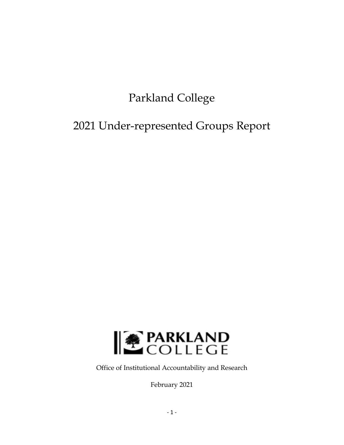# Parkland College

# 2021 Under-represented Groups Report



Office of Institutional Accountability and Research

February 2021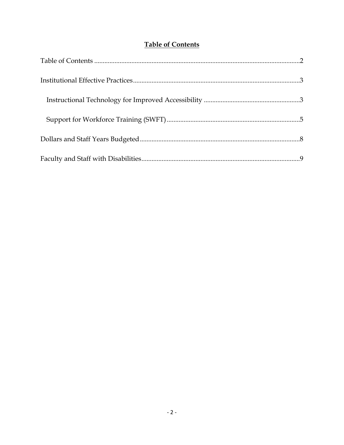# **Table of Contents**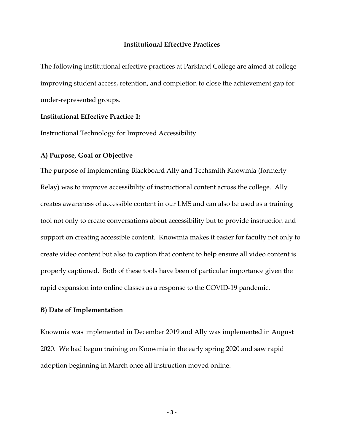#### **Institutional Effective Practices**

The following institutional effective practices at Parkland College are aimed at college improving student access, retention, and completion to close the achievement gap for under-represented groups.

#### **Institutional Effective Practice 1:**

Instructional Technology for Improved Accessibility

#### **A) Purpose, Goal or Objective**

The purpose of implementing Blackboard Ally and Techsmith Knowmia (formerly Relay) was to improve accessibility of instructional content across the college. Ally creates awareness of accessible content in our LMS and can also be used as a training tool not only to create conversations about accessibility but to provide instruction and support on creating accessible content. Knowmia makes it easier for faculty not only to create video content but also to caption that content to help ensure all video content is properly captioned. Both of these tools have been of particular importance given the rapid expansion into online classes as a response to the COVID-19 pandemic.

#### **B) Date of Implementation**

Knowmia was implemented in December 2019 and Ally was implemented in August 2020. We had begun training on Knowmia in the early spring 2020 and saw rapid adoption beginning in March once all instruction moved online.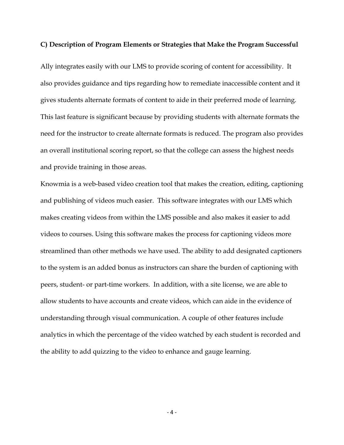#### **C) Description of Program Elements or Strategies that Make the Program Successful**

Ally integrates easily with our LMS to provide scoring of content for accessibility. It also provides guidance and tips regarding how to remediate inaccessible content and it gives students alternate formats of content to aide in their preferred mode of learning. This last feature is significant because by providing students with alternate formats the need for the instructor to create alternate formats is reduced. The program also provides an overall institutional scoring report, so that the college can assess the highest needs and provide training in those areas.

Knowmia is a web-based video creation tool that makes the creation, editing, captioning and publishing of videos much easier. This software integrates with our LMS which makes creating videos from within the LMS possible and also makes it easier to add videos to courses. Using this software makes the process for captioning videos more streamlined than other methods we have used. The ability to add designated captioners to the system is an added bonus as instructors can share the burden of captioning with peers, student- or part-time workers. In addition, with a site license, we are able to allow students to have accounts and create videos, which can aide in the evidence of understanding through visual communication. A couple of other features include analytics in which the percentage of the video watched by each student is recorded and the ability to add quizzing to the video to enhance and gauge learning.

 $-4-$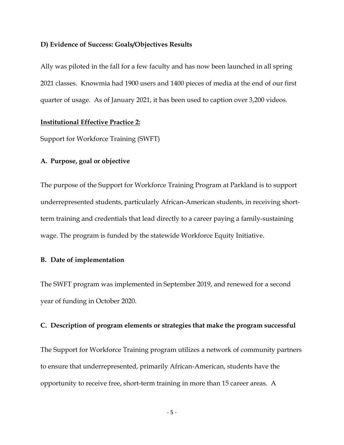#### **D) Evidence of Success: Goals/Objectives Results**

Ally was piloted in the fall for a few faculty and has now been launched in all spring 2021 classes. Knowmia had 1900 users and 1400 pieces of media at the end of our first quarter of usage. As of January 2021, it has been used to caption over 3,200 videos.

### **Institutional Effective Practice 2:**

Support for Workforce Training (SWFT)

### **A. Purpose, goal or objective**

The purpose of the Support for Workforce Training Program at Parkland is to support underrepresented students, particularly African-American students, in receiving shortterm training and credentials that lead directly to a career paying a family-sustaining wage. The program is funded by the statewide Workforce Equity Initiative.

### **B. Date of implementation**

The SWFT program was implemented in September 2019, and renewed for a second year of funding in October 2020.

#### **C. Description of program elements or strategies that make the program successful**

The Support for Workforce Training program utilizes a network of community partners to ensure that underrepresented, primarily African-American, students have the opportunity to receive free, short-term training in more than 15 career areas. A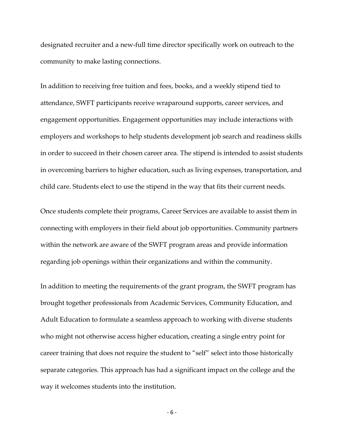designated recruiter and a new-full time director specifically work on outreach to the community to make lasting connections.

In addition to receiving free tuition and fees, books, and a weekly stipend tied to attendance, SWFT participants receive wraparound supports, career services, and engagement opportunities. Engagement opportunities may include interactions with employers and workshops to help students development job search and readiness skills in order to succeed in their chosen career area. The stipend is intended to assist students in overcoming barriers to higher education, such as living expenses, transportation, and child care. Students elect to use the stipend in the way that fits their current needs.

Once students complete their programs, Career Services are available to assist them in connecting with employers in their field about job opportunities. Community partners within the network are aware of the SWFT program areas and provide information regarding job openings within their organizations and within the community.

In addition to meeting the requirements of the grant program, the SWFT program has brought together professionals from Academic Services, Community Education, and Adult Education to formulate a seamless approach to working with diverse students who might not otherwise access higher education, creating a single entry point for career training that does not require the student to "self" select into those historically separate categories. This approach has had a significant impact on the college and the way it welcomes students into the institution.

 $-6-$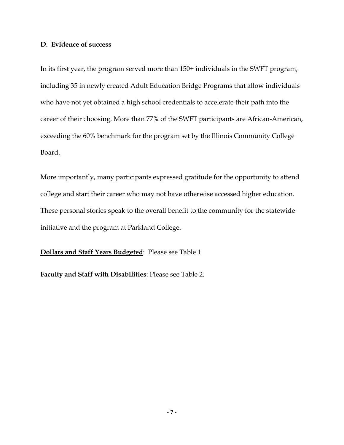## **D. Evidence of success**

In its first year, the program served more than 150+ individuals in the SWFT program, including 35 in newly created Adult Education Bridge Programs that allow individuals who have not yet obtained a high school credentials to accelerate their path into the career of their choosing. More than 77% of the SWFT participants are African-American, exceeding the 60% benchmark for the program set by the Illinois Community College Board.

More importantly, many participants expressed gratitude for the opportunity to attend college and start their career who may not have otherwise accessed higher education. These personal stories speak to the overall benefit to the community for the statewide initiative and the program at Parkland College.

**Dollars and Staff Years Budgeted**: Please see Table 1

**Faculty and Staff with Disabilities**: Please see Table 2.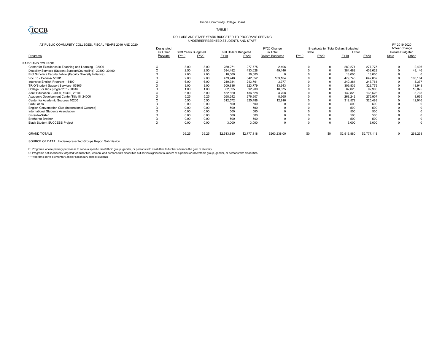#### Illinois Community College Board TABLE 1

#### DOLLARS AND STAFF YEARS BUDGETED TO PROGRAMS SERVING UNDERREPRESENTED STUDENTS AND STAFF

#### AT PUBLIC COMMUNITY COLLEGES, FISCAL YEARS 2019 AND 2020

| AT PUBLIC COMMUNITY COLLEGES, FISCAL YEARS 2019 AND 2020       | Designated<br>Or Other | <b>Staff Years Budgeted</b> |       | <b>Total Dollars Budgeted</b> |             | FY20 Change<br>in Total | State       |      | Breakouts for Total Dollars Budgeted<br>Other |             | FY 2019-2020<br>1-Year Change<br><b>Dollars Budgeted</b> |          |  |
|----------------------------------------------------------------|------------------------|-----------------------------|-------|-------------------------------|-------------|-------------------------|-------------|------|-----------------------------------------------|-------------|----------------------------------------------------------|----------|--|
| Programs                                                       | Program                | <b>FY19</b>                 | FY20  | FY19                          | FY20        | <b>Dollars Budgeted</b> | FY19        | FY20 | FY19                                          | <b>FY20</b> | State                                                    | Other    |  |
| PARKLAND COLLEGE                                               |                        |                             |       |                               |             |                         |             |      |                                               |             |                                                          |          |  |
| Center for Excellence in Teaching and Learning - 22000         | O                      | 3.00                        | 3.00  | 280,271                       | 277.775     | $-2,496$                | $\mathbf 0$ |      | 280,271                                       | 277,775     | 0                                                        | $-2,496$ |  |
| Disability Services (Student Support/Counseling)- 30300, 30400 | $\Omega$               | 2.50                        | 2.50  | 384,482                       | 433,628     | 49,146                  |             |      | 384,482                                       | 433,628     | 0                                                        | 49,146   |  |
| Prof Scholar / Faculty Fellow (Faculty Diversity Initiative)   |                        | 2.00                        | 2.00  | 18,000                        | 18,000      |                         |             |      | 18,000                                        | 18,000      | 0                                                        |          |  |
| Voc Ed - Perkins- 55201                                        |                        | 2.00                        | 2.00  | 479,748                       | 642,852     | 163,104                 |             |      | 479,748                                       | 642,852     | $\mathbf 0$                                              | 163,104  |  |
| Intensive English Program- 15400                               |                        | 6.00                        | 6.00  | 240,384                       | 243,761     | 3.377                   |             |      | 240,384                                       | 243,761     | 0                                                        | 3,377    |  |
| TRIO/Student Support Services- 55305                           |                        | 3.00                        | 3.00  | 309,836                       | 323,779     | 13,943                  |             |      | 309,836                                       | 323,779     | 0                                                        | 13,943   |  |
| College For Kids program*** - 60616                            |                        | 1.00                        | 1.00  | 82,025                        | 92,900      | 10,875                  |             |      | 82,025                                        | 92,900      | $\Omega$                                                 | 10,875   |  |
| Adult Education - 23000, 10300, 23100                          |                        | 6.00                        | 5.00  | 132,820                       | 136,528     | 3,708                   |             |      | 132,820                                       | 136,528     | $\Omega$                                                 | 3,708    |  |
| Academic Development Center/Title III 24000                    |                        | 5.25                        | 5.25  | 268,242                       | 276,907     | 8,665                   |             |      | 268,242                                       | 276,907     |                                                          | 8,665    |  |
| Center for Academic Success 10200                              |                        | 5.50                        | 5.50  | 312,572                       | 325,488     | 12,916                  |             |      | 312,572                                       | 325,488     |                                                          | 12,916   |  |
| Club Latino                                                    |                        | 0.00                        | 0.00  | 500                           | 500         |                         |             |      | 500                                           | 500         |                                                          |          |  |
| English Conversation Club (International Cultures)             |                        | 0.00                        | 0.00  | 500                           | 500         |                         |             |      | 500                                           | 500         |                                                          |          |  |
| International Students Association                             |                        | 0.00                        | 0.00  | 500                           | 500         |                         |             |      | 500                                           | 500         |                                                          |          |  |
| Sister-to-Sister                                               |                        | 0.00                        | 0.00  | 500                           | 500         |                         |             |      | 500                                           | 500         |                                                          |          |  |
| <b>Brother to Brother</b>                                      |                        | 0.00                        | 0.00  | 500                           | 500         |                         |             |      | 500                                           | 500         | 0                                                        |          |  |
| <b>Black Student SUCCESS Project</b>                           |                        | 0.00                        | 0.00  | 3.000                         | 3.000       |                         | $\Omega$    |      | 3.000                                         | 3.000       | 0                                                        |          |  |
| <b>GRAND TOTALS</b>                                            |                        | 36.25                       | 35.25 | \$2,513,880                   | \$2,777,118 | \$263,238.00            | \$0         | \$0  | \$2,513,880                                   | \$2,777,118 | $\mathbf 0$                                              | 263,238  |  |
| SOURCE OF DATA: Underrepresented Groups Report Submission      |                        |                             |       |                               |             |                         |             |      |                                               |             |                                                          |          |  |

D: Programs whose primary purpose is to serve a specific race/ethnic group, gender, or persons with disabilities to further advance the goal of diversity.

O: Programs not specifically targeted for minorities, women, and persons with disabilities but serves significant numbers of a particular race/ethnic group, gender, or persons with disabilities.

\*\*\*Programs serve elementary and/or secondary school students